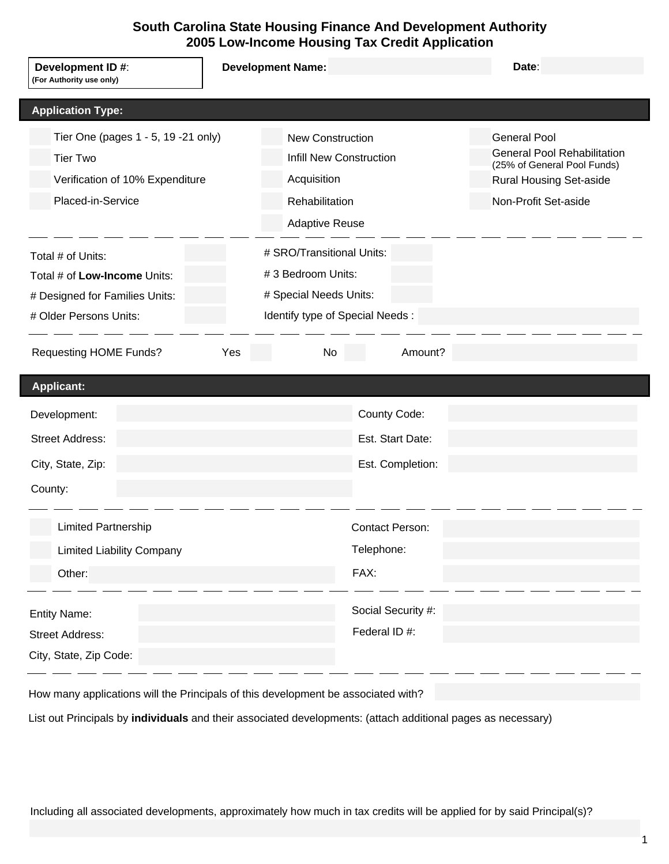# **South Carolina State Housing Finance And Development Authority 2005 Low-Income Housing Tax Credit Application**

| Development ID #:<br>(For Authority use only)                                                                                                  | <b>Development Name:</b>                                                                                                  | Date:                                                                                                                                              |
|------------------------------------------------------------------------------------------------------------------------------------------------|---------------------------------------------------------------------------------------------------------------------------|----------------------------------------------------------------------------------------------------------------------------------------------------|
| <b>Application Type:</b>                                                                                                                       |                                                                                                                           |                                                                                                                                                    |
| Tier One (pages 1 - 5, 19 - 21 only)<br><b>Tier Two</b><br>Verification of 10% Expenditure<br>Placed-in-Service                                | <b>New Construction</b><br><b>Infill New Construction</b><br>Acquisition<br>Rehabilitation<br><b>Adaptive Reuse</b>       | <b>General Pool</b><br><b>General Pool Rehabilitation</b><br>(25% of General Pool Funds)<br><b>Rural Housing Set-aside</b><br>Non-Profit Set-aside |
| Total # of Units:<br>Total # of Low-Income Units:<br># Designed for Families Units:<br># Older Persons Units:<br><b>Requesting HOME Funds?</b> | # SRO/Transitional Units:<br>#3 Bedroom Units:<br># Special Needs Units:<br>Identify type of Special Needs :<br>Yes<br>No | Amount?                                                                                                                                            |
|                                                                                                                                                |                                                                                                                           |                                                                                                                                                    |
| <b>Applicant:</b>                                                                                                                              |                                                                                                                           |                                                                                                                                                    |
| Development:                                                                                                                                   | County Code:                                                                                                              |                                                                                                                                                    |
| <b>Street Address:</b>                                                                                                                         | Est. Start Date:                                                                                                          |                                                                                                                                                    |
| City, State, Zip:<br>County:                                                                                                                   | Est. Completion:                                                                                                          |                                                                                                                                                    |
| <b>Limited Partnership</b>                                                                                                                     | <b>Contact Person:</b>                                                                                                    |                                                                                                                                                    |
| <b>Limited Liability Company</b>                                                                                                               | Telephone:                                                                                                                |                                                                                                                                                    |
| Other:                                                                                                                                         | FAX:                                                                                                                      |                                                                                                                                                    |
| <b>Entity Name:</b><br><b>Street Address:</b><br>City, State, Zip Code:                                                                        | Social Security #:<br>Federal ID #:                                                                                       |                                                                                                                                                    |

How many applications will the Principals of this development be associated with?

List out Principals by **individuals** and their associated developments: (attach additional pages as necessary)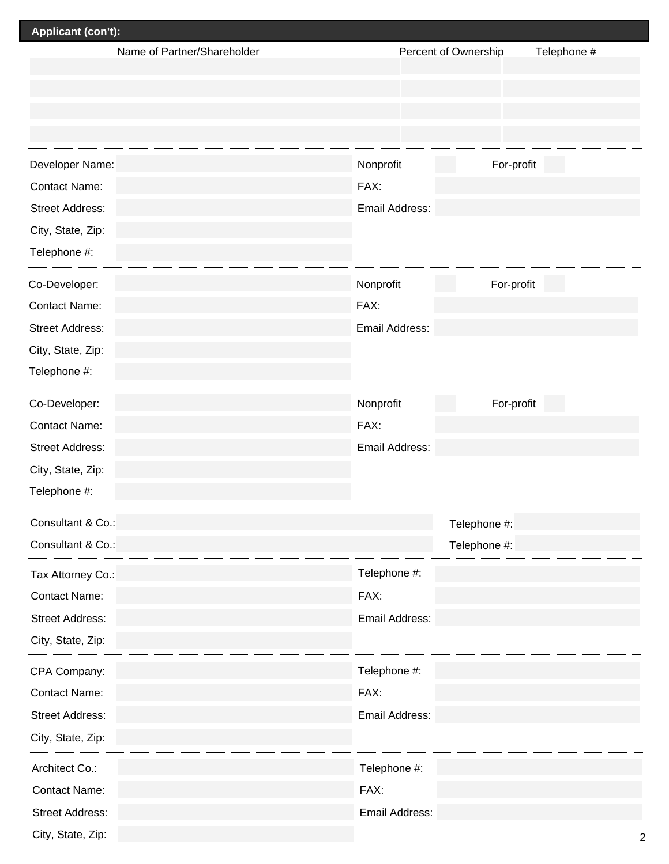| Applicant (con't):          |                         |                         |
|-----------------------------|-------------------------|-------------------------|
| Name of Partner/Shareholder | Percent of Ownership    | Telephone #             |
|                             |                         |                         |
|                             |                         |                         |
|                             |                         |                         |
| Developer Name:             | For-profit<br>Nonprofit |                         |
| <b>Contact Name:</b>        | FAX:                    |                         |
| <b>Street Address:</b>      | Email Address:          |                         |
| City, State, Zip:           |                         |                         |
| Telephone #:                |                         |                         |
|                             |                         |                         |
| Co-Developer:               | For-profit<br>Nonprofit |                         |
| <b>Contact Name:</b>        | FAX:                    |                         |
| <b>Street Address:</b>      | Email Address:          |                         |
| City, State, Zip:           |                         |                         |
| Telephone #:                |                         |                         |
| Co-Developer:               | Nonprofit<br>For-profit |                         |
| <b>Contact Name:</b>        | FAX:                    |                         |
| <b>Street Address:</b>      | Email Address:          |                         |
| City, State, Zip:           |                         |                         |
| Telephone #:                |                         |                         |
| Consultant & Co.:           | Telephone #:            |                         |
| Consultant & Co.:           | Telephone #:            |                         |
| Tax Attorney Co.:           | Telephone #:            |                         |
| <b>Contact Name:</b>        | FAX:                    |                         |
| <b>Street Address:</b>      | Email Address:          |                         |
| City, State, Zip:           |                         |                         |
| CPA Company:                | Telephone #:            |                         |
| <b>Contact Name:</b>        | FAX:                    |                         |
| <b>Street Address:</b>      | Email Address:          |                         |
| City, State, Zip:           |                         |                         |
| Architect Co.:              | Telephone #:            |                         |
| <b>Contact Name:</b>        | FAX:                    |                         |
| <b>Street Address:</b>      | Email Address:          |                         |
| City, State, Zip:           |                         | $\overline{\mathbf{c}}$ |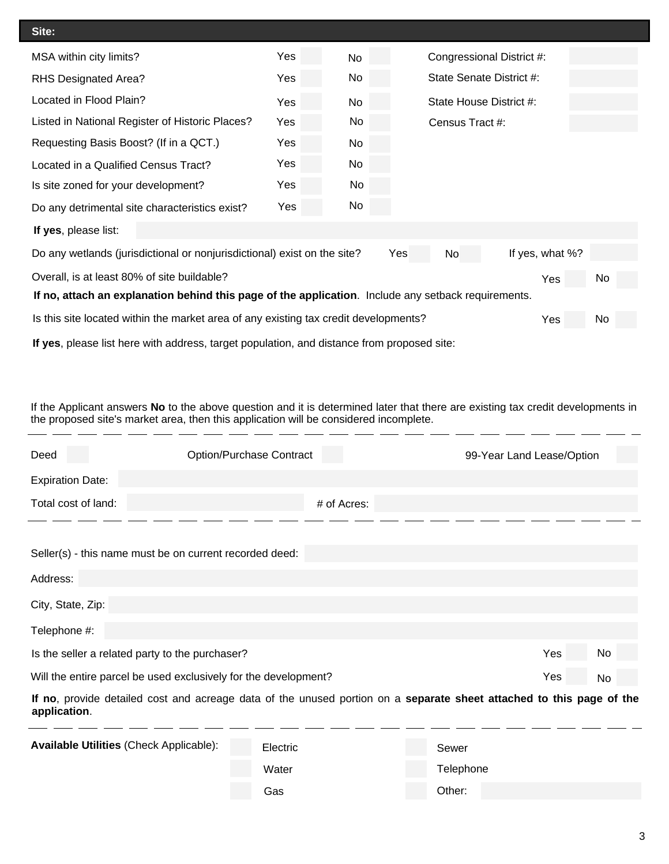| Site:                                                                                                    |                                                                                                     |           |                         |                           |    |  |  |  |  |
|----------------------------------------------------------------------------------------------------------|-----------------------------------------------------------------------------------------------------|-----------|-------------------------|---------------------------|----|--|--|--|--|
| MSA within city limits?                                                                                  | Yes                                                                                                 | <b>No</b> |                         | Congressional District #: |    |  |  |  |  |
| <b>RHS Designated Area?</b>                                                                              | Yes.                                                                                                | No        |                         | State Senate District #:  |    |  |  |  |  |
| Located in Flood Plain?                                                                                  | Yes                                                                                                 | <b>No</b> | State House District #: |                           |    |  |  |  |  |
| Listed in National Register of Historic Places?                                                          | Yes                                                                                                 | No        | Census Tract #:         |                           |    |  |  |  |  |
| Requesting Basis Boost? (If in a QCT.)                                                                   | Yes                                                                                                 | No        |                         |                           |    |  |  |  |  |
| Located in a Qualified Census Tract?                                                                     | Yes                                                                                                 | No        |                         |                           |    |  |  |  |  |
| Is site zoned for your development?                                                                      | Yes                                                                                                 | No        |                         |                           |    |  |  |  |  |
| Do any detrimental site characteristics exist?                                                           | Yes                                                                                                 | No        |                         |                           |    |  |  |  |  |
| If yes, please list:                                                                                     |                                                                                                     |           |                         |                           |    |  |  |  |  |
| If yes, what %?<br>Do any wetlands (jurisdictional or nonjurisdictional) exist on the site?<br>Yes<br>No |                                                                                                     |           |                         |                           |    |  |  |  |  |
| Overall, is at least 80% of site buildable?<br>No<br>Yes                                                 |                                                                                                     |           |                         |                           |    |  |  |  |  |
|                                                                                                          | If no, attach an explanation behind this page of the application. Include any setback requirements. |           |                         |                           |    |  |  |  |  |
| Is this site located within the market area of any existing tax credit developments?                     |                                                                                                     |           |                         | Yes                       | No |  |  |  |  |
|                                                                                                          |                                                                                                     |           |                         |                           |    |  |  |  |  |

**If yes**, please list here with address, target population, and distance from proposed site:

 $\mathbb{R}^{\mathbb{Z}}$ 

 $\mathbb{R}^2$ 

 $\overline{\phantom{a}}$ 

 $\mathbb{R}^n$ 

 $\mathbb{Z}^{\mathbb{Z}}$ 

 $\overline{a}$ 

If the Applicant answers **No** to the above question and it is determined later that there are existing tax credit developments in the proposed site's market area, then this application will be considered incomplete.

| Deed                    | <b>Option/Purchase Contract</b>                                                                                      |             | 99-Year Land Lease/Option |     |    |
|-------------------------|----------------------------------------------------------------------------------------------------------------------|-------------|---------------------------|-----|----|
| <b>Expiration Date:</b> |                                                                                                                      |             |                           |     |    |
| Total cost of land:     |                                                                                                                      | # of Acres: |                           |     |    |
|                         |                                                                                                                      |             |                           |     |    |
|                         | Seller(s) - this name must be on current recorded deed:                                                              |             |                           |     |    |
| Address:                |                                                                                                                      |             |                           |     |    |
| City, State, Zip:       |                                                                                                                      |             |                           |     |    |
| Telephone #:            |                                                                                                                      |             |                           |     |    |
|                         | Is the seller a related party to the purchaser?                                                                      |             |                           | Yes | No |
|                         | Will the entire parcel be used exclusively for the development?                                                      |             |                           | Yes | No |
| application.            | If no, provide detailed cost and acreage data of the unused portion on a separate sheet attached to this page of the |             |                           |     |    |
|                         | Availahle Hillities (Check Applicable)<br>$E$ lootrio                                                                |             | 0.0000                    |     |    |

| <b>Available Utilities (Check Applicable):</b> | Electric | Sewer     |
|------------------------------------------------|----------|-----------|
|                                                | Water    | Telephone |
|                                                | Gas      | Other:    |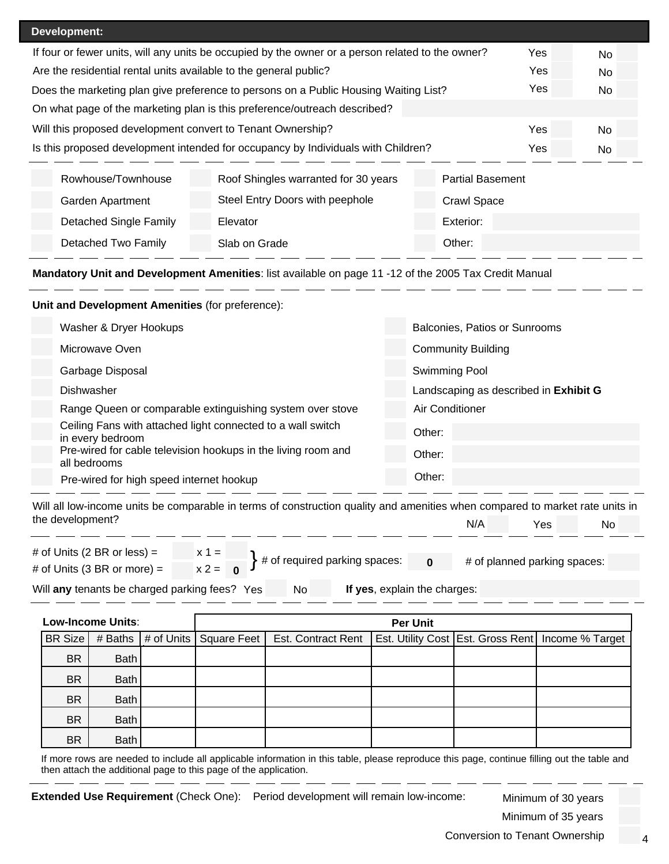| Development:                                                                                      |                                      |                         |  |  |  |  |  |
|---------------------------------------------------------------------------------------------------|--------------------------------------|-------------------------|--|--|--|--|--|
| If four or fewer units, will any units be occupied by the owner or a person related to the owner? | <b>Yes</b>                           | No.                     |  |  |  |  |  |
| Are the residential rental units available to the general public?<br><b>Yes</b>                   |                                      |                         |  |  |  |  |  |
| Yes<br>Does the marketing plan give preference to persons on a Public Housing Waiting List?       |                                      |                         |  |  |  |  |  |
| On what page of the marketing plan is this preference/outreach described?                         |                                      |                         |  |  |  |  |  |
| Will this proposed development convert to Tenant Ownership?<br>Yes                                |                                      |                         |  |  |  |  |  |
| Is this proposed development intended for occupancy by Individuals with Children?                 | Yes                                  | No                      |  |  |  |  |  |
| Rowhouse/Townhouse                                                                                | Roof Shingles warranted for 30 years | <b>Partial Basement</b> |  |  |  |  |  |
| Garden Apartment                                                                                  | <b>Crawl Space</b>                   |                         |  |  |  |  |  |
| Detached Single Family                                                                            | Elevator                             | Exterior:               |  |  |  |  |  |
| Detached Two Family                                                                               | Slab on Grade                        | Other:                  |  |  |  |  |  |

**Mandatory Unit and Development Amenities**: list available on page 11 -12 of the 2005 Tax Credit Manual

## **Unit and Development Amenities** (for preference):

| Washer & Dryer Hookups                                                          | Balconies, Patios or Sunrooms         |
|---------------------------------------------------------------------------------|---------------------------------------|
| Microwave Oven                                                                  | <b>Community Building</b>             |
| Garbage Disposal                                                                | Swimming Pool                         |
| Dishwasher                                                                      | Landscaping as described in Exhibit G |
| Range Queen or comparable extinguishing system over stove                       | Air Conditioner                       |
| Ceiling Fans with attached light connected to a wall switch<br>in every bedroom | Other:                                |
| Pre-wired for cable television hookups in the living room and<br>all bedrooms   | Other:                                |
| Pre-wired for high speed internet hookup                                        | Other:                                |

Will all low-income units be comparable in terms of construction quality and amenities when compared to market rate units in the development? N/A Yes No

| # of Units (2 BR or less) =                   | $x 1 =$   |  |  |    |                                            |  |                              |  |
|-----------------------------------------------|-----------|--|--|----|--------------------------------------------|--|------------------------------|--|
|                                               |           |  |  |    | $\leftarrow$ # of required parking spaces: |  | # of planned parking spaces: |  |
| # of Units (3 BR or more) =                   | $x^2 = 0$ |  |  |    |                                            |  |                              |  |
|                                               |           |  |  |    |                                            |  |                              |  |
| Will any tenants be charged parking fees? Yes |           |  |  | No | If yes, explain the charges:               |  |                              |  |

|           | Low-Income Units: | <b>Per Unit</b>                              |                           |  |  |                                                       |  |
|-----------|-------------------|----------------------------------------------|---------------------------|--|--|-------------------------------------------------------|--|
|           |                   | BR Size   # Baths   # of Units   Square Feet | <b>Est. Contract Rent</b> |  |  | Est. Utility Cost   Est. Gross Rent   Income % Target |  |
| <b>BR</b> | Bath              |                                              |                           |  |  |                                                       |  |
| <b>BR</b> | Bath              |                                              |                           |  |  |                                                       |  |
| <b>BR</b> | Bath              |                                              |                           |  |  |                                                       |  |
| <b>BR</b> | Bath              |                                              |                           |  |  |                                                       |  |
| <b>BR</b> | Bath              |                                              |                           |  |  |                                                       |  |

If more rows are needed to include all applicable information in this table, please reproduce this page, continue filling out the table and then attach the additional page to this page of the application.

**Extended Use Requirement** (Check One): Period development will remain low-income: Minimum of 30 years

Minimum of 35 years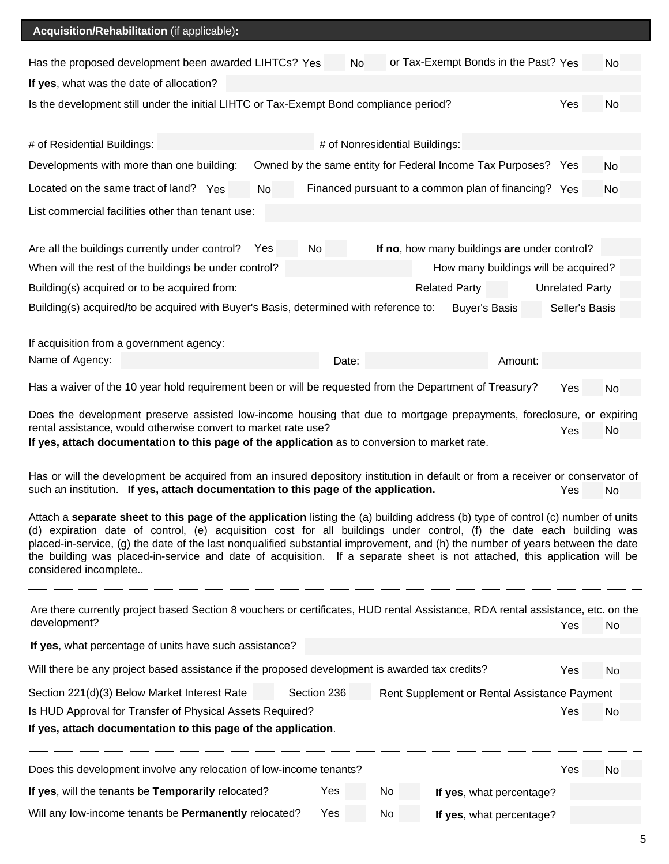# **Acquisition/Rehabilitation** (if applicable)**:**

| Has the proposed development been awarded LIHTCs? Yes                                                                                                                                                                                                                                                                                                                                                                                                                                                                                            |             | No |                                |                      | or Tax-Exempt Bonds in the Past? Yes                          |                        | No        |
|--------------------------------------------------------------------------------------------------------------------------------------------------------------------------------------------------------------------------------------------------------------------------------------------------------------------------------------------------------------------------------------------------------------------------------------------------------------------------------------------------------------------------------------------------|-------------|----|--------------------------------|----------------------|---------------------------------------------------------------|------------------------|-----------|
| If yes, what was the date of allocation?                                                                                                                                                                                                                                                                                                                                                                                                                                                                                                         |             |    |                                |                      |                                                               |                        |           |
| Is the development still under the initial LIHTC or Tax-Exempt Bond compliance period?                                                                                                                                                                                                                                                                                                                                                                                                                                                           |             |    |                                |                      |                                                               | Yes                    | No        |
| # of Residential Buildings:                                                                                                                                                                                                                                                                                                                                                                                                                                                                                                                      |             |    | # of Nonresidential Buildings: |                      |                                                               |                        |           |
| Developments with more than one building:                                                                                                                                                                                                                                                                                                                                                                                                                                                                                                        |             |    |                                |                      | Owned by the same entity for Federal Income Tax Purposes? Yes |                        | <b>No</b> |
| Located on the same tract of land? Yes<br>No                                                                                                                                                                                                                                                                                                                                                                                                                                                                                                     |             |    |                                |                      | Financed pursuant to a common plan of financing? Yes          |                        | <b>No</b> |
| List commercial facilities other than tenant use:                                                                                                                                                                                                                                                                                                                                                                                                                                                                                                |             |    |                                |                      |                                                               |                        |           |
| Are all the buildings currently under control?<br>Yes                                                                                                                                                                                                                                                                                                                                                                                                                                                                                            | No          |    |                                |                      | If no, how many buildings are under control?                  |                        |           |
| When will the rest of the buildings be under control?                                                                                                                                                                                                                                                                                                                                                                                                                                                                                            |             |    |                                |                      | How many buildings will be acquired?                          |                        |           |
| Building(s) acquired or to be acquired from:                                                                                                                                                                                                                                                                                                                                                                                                                                                                                                     |             |    |                                | <b>Related Party</b> |                                                               | <b>Unrelated Party</b> |           |
| Building(s) acquired/to be acquired with Buyer's Basis, determined with reference to:                                                                                                                                                                                                                                                                                                                                                                                                                                                            |             |    |                                | <b>Buyer's Basis</b> |                                                               | Seller's Basis         |           |
| If acquisition from a government agency:                                                                                                                                                                                                                                                                                                                                                                                                                                                                                                         |             |    |                                |                      |                                                               |                        |           |
| Name of Agency:                                                                                                                                                                                                                                                                                                                                                                                                                                                                                                                                  | Date:       |    |                                |                      | Amount:                                                       |                        |           |
| Has a waiver of the 10 year hold requirement been or will be requested from the Department of Treasury?                                                                                                                                                                                                                                                                                                                                                                                                                                          |             |    |                                |                      |                                                               | Yes                    | No        |
| Does the development preserve assisted low-income housing that due to mortgage prepayments, foreclosure, or expiring<br>rental assistance, would otherwise convert to market rate use?<br>If yes, attach documentation to this page of the application as to conversion to market rate.                                                                                                                                                                                                                                                          |             |    |                                |                      |                                                               | Yes                    | No        |
| Has or will the development be acquired from an insured depository institution in default or from a receiver or conservator of<br>such an institution. If yes, attach documentation to this page of the application.                                                                                                                                                                                                                                                                                                                             |             |    |                                |                      |                                                               | Yes                    | No        |
| Attach a separate sheet to this page of the application listing the (a) building address (b) type of control (c) number of units<br>(d) expiration date of control, (e) acquisition cost for all buildings under control, (f) the date each building was<br>placed-in-service, (g) the date of the last nonqualified substantial improvement, and (h) the number of years between the date<br>the building was placed-in-service and date of acquisition. If a separate sheet is not attached, this application will be<br>considered incomplete |             |    |                                |                      |                                                               |                        |           |
| Are there currently project based Section 8 vouchers or certificates, HUD rental Assistance, RDA rental assistance, etc. on the<br>development?                                                                                                                                                                                                                                                                                                                                                                                                  |             |    |                                |                      |                                                               |                        |           |
|                                                                                                                                                                                                                                                                                                                                                                                                                                                                                                                                                  |             |    |                                |                      |                                                               |                        |           |
|                                                                                                                                                                                                                                                                                                                                                                                                                                                                                                                                                  |             |    |                                |                      |                                                               | Yes                    | No        |
| If yes, what percentage of units have such assistance?                                                                                                                                                                                                                                                                                                                                                                                                                                                                                           |             |    |                                |                      |                                                               |                        |           |
| Will there be any project based assistance if the proposed development is awarded tax credits?                                                                                                                                                                                                                                                                                                                                                                                                                                                   |             |    |                                |                      |                                                               | Yes                    | No        |
| Section 221(d)(3) Below Market Interest Rate                                                                                                                                                                                                                                                                                                                                                                                                                                                                                                     | Section 236 |    |                                |                      | Rent Supplement or Rental Assistance Payment                  |                        |           |
| Is HUD Approval for Transfer of Physical Assets Required?<br>If yes, attach documentation to this page of the application.                                                                                                                                                                                                                                                                                                                                                                                                                       |             |    |                                |                      |                                                               | Yes                    | No        |
|                                                                                                                                                                                                                                                                                                                                                                                                                                                                                                                                                  |             |    |                                |                      |                                                               |                        |           |
| Does this development involve any relocation of low-income tenants?<br>If yes, will the tenants be Temporarily relocated?                                                                                                                                                                                                                                                                                                                                                                                                                        | Yes         | No |                                |                      | If yes, what percentage?                                      | Yes                    | <b>No</b> |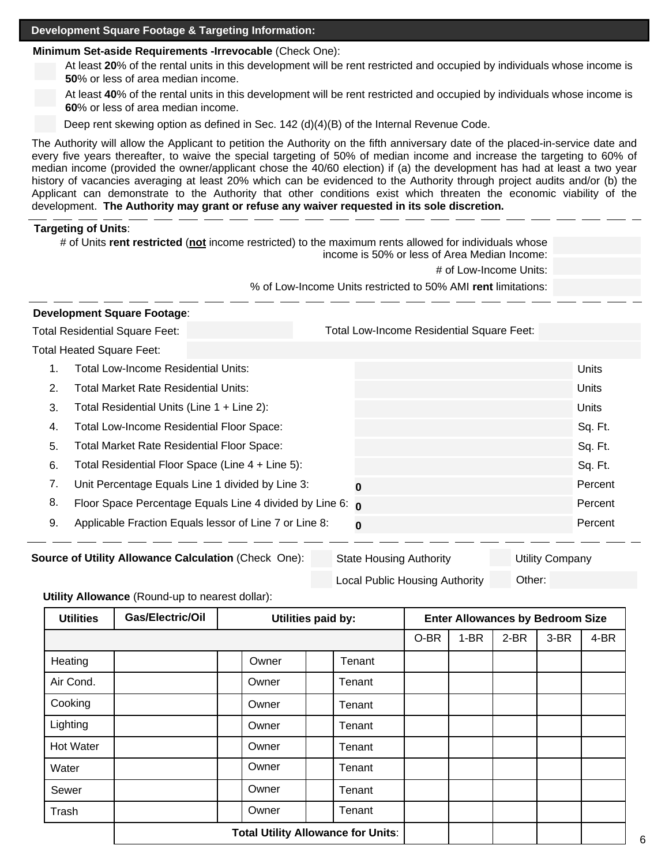#### **Development Square Footage & Targeting Information:**

## **Minimum Set-aside Requirements -Irrevocable** (Check One):

At least **20**% of the rental units in this development will be rent restricted and occupied by individuals whose income is **50**% or less of area median income.

At least **40**% of the rental units in this development will be rent restricted and occupied by individuals whose income is **60**% or less of area median income.

Deep rent skewing option as defined in Sec. 142 (d)(4)(B) of the Internal Revenue Code.

The Authority will allow the Applicant to petition the Authority on the fifth anniversary date of the placed-in-service date and every five years thereafter, to waive the special targeting of 50% of median income and increase the targeting to 60% of median income (provided the owner/applicant chose the 40/60 election) if (a) the development has had at least a two year history of vacancies averaging at least 20% which can be evidenced to the Authority through project audits and/or (b) the Applicant can demonstrate to the Authority that other conditions exist which threaten the economic viability of the development. **The Authority may grant or refuse any waiver requested in its sole discretion.**

#### **Targeting of Units**:

|    | # of Units rent restricted (not income restricted) to the maximum rents allowed for individuals whose<br>income is 50% or less of Area Median Income: |                                                                  |  |                                                               |         |  |  |
|----|-------------------------------------------------------------------------------------------------------------------------------------------------------|------------------------------------------------------------------|--|---------------------------------------------------------------|---------|--|--|
|    |                                                                                                                                                       |                                                                  |  | # of Low-Income Units:                                        |         |  |  |
|    |                                                                                                                                                       |                                                                  |  | % of Low-Income Units restricted to 50% AMI rent limitations: |         |  |  |
|    | <b>Development Square Footage:</b>                                                                                                                    |                                                                  |  |                                                               |         |  |  |
|    | <b>Total Residential Square Feet:</b>                                                                                                                 |                                                                  |  | <b>Total Low-Income Residential Square Feet:</b>              |         |  |  |
|    | <b>Total Heated Square Feet:</b>                                                                                                                      |                                                                  |  |                                                               |         |  |  |
| 1. | Total Low-Income Residential Units:                                                                                                                   |                                                                  |  |                                                               | Units   |  |  |
| 2. | Total Market Rate Residential Units:                                                                                                                  |                                                                  |  |                                                               | Units   |  |  |
| 3. | Total Residential Units (Line 1 + Line 2):                                                                                                            |                                                                  |  |                                                               | Units   |  |  |
| 4. | Total Low-Income Residential Floor Space:                                                                                                             |                                                                  |  |                                                               | Sq. Ft. |  |  |
| 5. | <b>Total Market Rate Residential Floor Space:</b>                                                                                                     |                                                                  |  |                                                               | Sq. Ft. |  |  |
| 6. |                                                                                                                                                       | Total Residential Floor Space (Line 4 + Line 5):                 |  |                                                               | Sq. Ft. |  |  |
| 7. |                                                                                                                                                       | Unit Percentage Equals Line 1 divided by Line 3:                 |  | 0                                                             | Percent |  |  |
| 8. |                                                                                                                                                       | Floor Space Percentage Equals Line 4 divided by Line 6: $\sigma$ |  |                                                               | Percent |  |  |
| 9. |                                                                                                                                                       | Applicable Fraction Equals lessor of Line 7 or Line 8:           |  | $\bf{0}$                                                      | Percent |  |  |

| Other: | <b>Source of Utility Allowance Calculation (Check One):</b> | <b>State Housing Authority</b>        | <b>Utility Company</b> |
|--------|-------------------------------------------------------------|---------------------------------------|------------------------|
|        |                                                             | <b>Local Public Housing Authority</b> |                        |

#### **Utility Allowance** (Round-up to nearest dollar):

| <b>Utilities</b> | Gas/Electric/Oil                          | Utilities paid by: |        |      | <b>Enter Allowances by Bedroom Size</b> |        |      |      |
|------------------|-------------------------------------------|--------------------|--------|------|-----------------------------------------|--------|------|------|
|                  |                                           |                    |        | O-BR | $1-BR$                                  | $2-BR$ | 3-BR | 4-BR |
| Heating          |                                           | Owner              | Tenant |      |                                         |        |      |      |
| Air Cond.        |                                           | Owner              | Tenant |      |                                         |        |      |      |
| Cooking          |                                           | Owner              | Tenant |      |                                         |        |      |      |
| Lighting         |                                           | Owner              | Tenant |      |                                         |        |      |      |
| <b>Hot Water</b> |                                           | Owner              | Tenant |      |                                         |        |      |      |
| Water            |                                           | Owner              | Tenant |      |                                         |        |      |      |
| Sewer            |                                           | Owner              | Tenant |      |                                         |        |      |      |
| Trash            |                                           | Owner<br>Tenant    |        |      |                                         |        |      |      |
|                  | <b>Total Utility Allowance for Units:</b> |                    |        |      |                                         |        |      |      |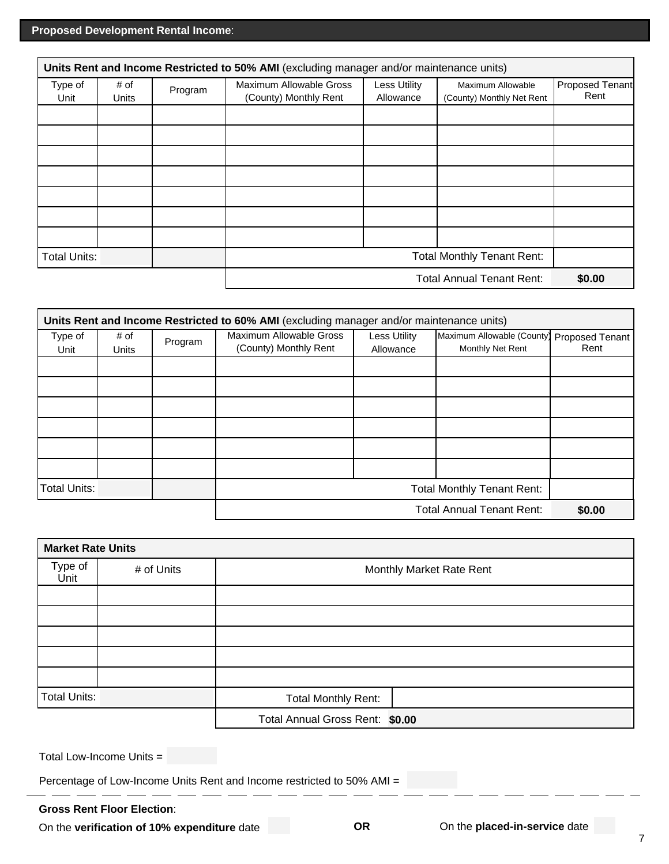|                 | Units Rent and Income Restricted to 50% AMI (excluding manager and/or maintenance units) |         |                                                  |                                  |                                                |                         |
|-----------------|------------------------------------------------------------------------------------------|---------|--------------------------------------------------|----------------------------------|------------------------------------------------|-------------------------|
| Type of<br>Unit | # of<br>Units                                                                            | Program | Maximum Allowable Gross<br>(County) Monthly Rent | <b>Less Utility</b><br>Allowance | Maximum Allowable<br>(County) Monthly Net Rent | Proposed Tenant<br>Rent |
|                 |                                                                                          |         |                                                  |                                  |                                                |                         |
|                 |                                                                                          |         |                                                  |                                  |                                                |                         |
|                 |                                                                                          |         |                                                  |                                  |                                                |                         |
|                 |                                                                                          |         |                                                  |                                  |                                                |                         |
|                 |                                                                                          |         |                                                  |                                  |                                                |                         |
|                 |                                                                                          |         |                                                  |                                  |                                                |                         |
|                 |                                                                                          |         |                                                  |                                  |                                                |                         |
|                 | <b>Total Monthly Tenant Rent:</b><br><b>Total Units:</b>                                 |         |                                                  |                                  |                                                |                         |
|                 |                                                                                          |         |                                                  |                                  | <b>Total Annual Tenant Rent:</b>               | \$0.00                  |

|                                                          | Units Rent and Income Restricted to 60% AMI (excluding manager and/or maintenance units) |         |                                                  |                                  |                                                |                         |
|----------------------------------------------------------|------------------------------------------------------------------------------------------|---------|--------------------------------------------------|----------------------------------|------------------------------------------------|-------------------------|
| Type of<br>Unit                                          | # of<br>Units                                                                            | Program | Maximum Allowable Gross<br>(County) Monthly Rent | <b>Less Utility</b><br>Allowance | Maximum Allowable (County)<br>Monthly Net Rent | Proposed Tenant<br>Rent |
|                                                          |                                                                                          |         |                                                  |                                  |                                                |                         |
|                                                          |                                                                                          |         |                                                  |                                  |                                                |                         |
|                                                          |                                                                                          |         |                                                  |                                  |                                                |                         |
|                                                          |                                                                                          |         |                                                  |                                  |                                                |                         |
|                                                          |                                                                                          |         |                                                  |                                  |                                                |                         |
|                                                          |                                                                                          |         |                                                  |                                  |                                                |                         |
| <b>Total Units:</b><br><b>Total Monthly Tenant Rent:</b> |                                                                                          |         |                                                  |                                  |                                                |                         |
| <b>Total Annual Tenant Rent:</b>                         |                                                                                          |         |                                                  | \$0.00                           |                                                |                         |

|                     | <b>Market Rate Units</b> |                                 |  |  |  |  |  |
|---------------------|--------------------------|---------------------------------|--|--|--|--|--|
| Type of<br>Unit     | # of Units               | Monthly Market Rate Rent        |  |  |  |  |  |
|                     |                          |                                 |  |  |  |  |  |
|                     |                          |                                 |  |  |  |  |  |
|                     |                          |                                 |  |  |  |  |  |
|                     |                          |                                 |  |  |  |  |  |
|                     |                          |                                 |  |  |  |  |  |
| <b>Total Units:</b> |                          | Total Monthly Rent:             |  |  |  |  |  |
|                     |                          | Total Annual Gross Rent: \$0.00 |  |  |  |  |  |

Total Low-Income Units =

Percentage of Low-Income Units Rent and Income restricted to 50% AMI =

\_ \_\_ \_

 $\overline{a}$ 

## **Gross Rent Floor Election**:

On the **verification of 10% expenditure** date **OR** On the **placed-in-service** date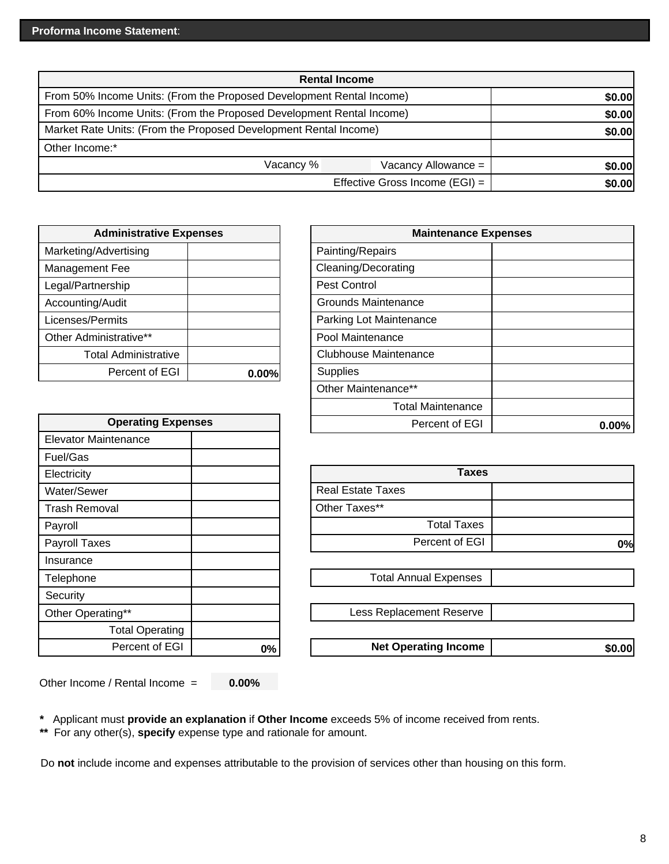| <b>Rental Income</b>                                                 |        |  |  |  |
|----------------------------------------------------------------------|--------|--|--|--|
| From 50% Income Units: (From the Proposed Development Rental Income) | \$0.00 |  |  |  |
| From 60% Income Units: (From the Proposed Development Rental Income) | \$0.00 |  |  |  |
| Market Rate Units: (From the Proposed Development Rental Income)     | \$0.00 |  |  |  |
| Other Income:*                                                       |        |  |  |  |
| Vacancy %                                                            | \$0.00 |  |  |  |
| Effective Gross Income (EGI) =                                       | \$0.00 |  |  |  |

| <b>Administrative Expenses</b> | <b>Main</b> |                              |
|--------------------------------|-------------|------------------------------|
| Marketing/Advertising          |             | Painting/Repairs             |
| Management Fee                 |             | Cleaning/Decorating          |
| Legal/Partnership              |             | <b>Pest Control</b>          |
| Accounting/Audit               |             | <b>Grounds Maintenance</b>   |
| Licenses/Permits               |             | Parking Lot Maintenance      |
| Other Administrative**         |             | Pool Maintenance             |
| <b>Total Administrative</b>    |             | <b>Clubhouse Maintenance</b> |
| Percent of EGI                 | 0.00%       | <b>Supplies</b>              |
|                                |             |                              |

| <b>Operating Expenses</b> |       |  | Percent of EGI               |
|---------------------------|-------|--|------------------------------|
| Elevator Maintenance      |       |  |                              |
| Fuel/Gas                  |       |  |                              |
| Electricity               |       |  | <b>Taxes</b>                 |
| Water/Sewer               |       |  | <b>Real Estate Taxes</b>     |
| Trash Removal             |       |  | Other Taxes**                |
| Payroll                   |       |  | <b>Total Taxes</b>           |
| Payroll Taxes             |       |  | Percent of EGI               |
| Insurance                 |       |  |                              |
| Telephone                 |       |  | <b>Total Annual Expenses</b> |
| Security                  |       |  |                              |
| Other Operating**         |       |  | Less Replacement Reserve     |
| <b>Total Operating</b>    |       |  |                              |
| Percent of EGI            | $0\%$ |  | <b>Net Operating Income</b>  |
|                           |       |  |                              |

| <b>Administrative Expenses</b> |       | <b>Maintenance Expenses</b>  |       |
|--------------------------------|-------|------------------------------|-------|
| Advertising                    |       | Painting/Repairs             |       |
| ent Fee                        |       | Cleaning/Decorating          |       |
| nership                        |       | Pest Control                 |       |
| g/Audit                        |       | <b>Grounds Maintenance</b>   |       |
| Permits                        |       | Parking Lot Maintenance      |       |
| ninistrative**                 |       | Pool Maintenance             |       |
| <b>otal Administrative</b>     |       | <b>Clubhouse Maintenance</b> |       |
| Percent of EGI                 | 0.00% | <b>Supplies</b>              |       |
|                                |       | Other Maintenance**          |       |
|                                |       | <b>Total Maintenance</b>     |       |
| <b>Operating Expenses</b>      |       | Percent of EGI               | 0.00% |
|                                |       |                              |       |

|                        |    | <b>Taxes</b>                 |        |
|------------------------|----|------------------------------|--------|
|                        |    | <b>Real Estate Taxes</b>     |        |
| эI                     |    | Other Taxes**                |        |
|                        |    | <b>Total Taxes</b>           |        |
|                        |    | Percent of EGI               | 0%     |
|                        |    |                              |        |
|                        |    | <b>Total Annual Expenses</b> |        |
|                        |    |                              |        |
| ng**                   |    | Less Replacement Reserve     |        |
| <b>Total Operating</b> |    |                              |        |
| Percent of EGI         | 0% | <b>Net Operating Income</b>  | \$0.00 |

Other Income / Rental Income = **0.00%**

**\*** Applicant must **provide an explanation** if **Other Income** exceeds 5% of income received from rents.

**\*\*** For any other(s), **specify** expense type and rationale for amount.

Do **not** include income and expenses attributable to the provision of services other than housing on this form.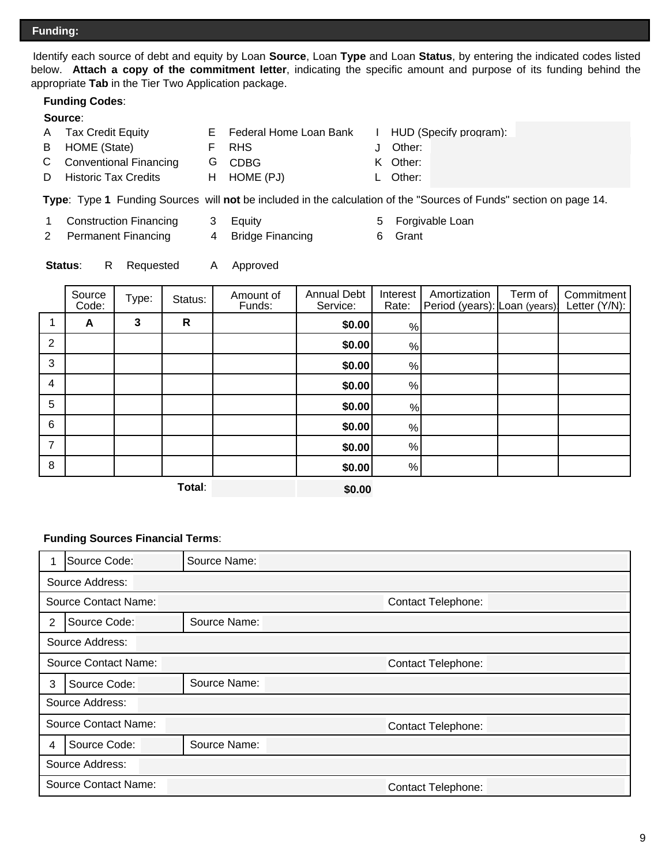Identify each source of debt and equity by Loan **Source**, Loan **Type** and Loan **Status**, by entering the indicated codes listed below. **Attach a copy of the commitment letter**, indicating the specific amount and purpose of its funding behind the appropriate **Tab** in the Tier Two Application package.

## **Funding Codes**:

#### **Source**:

- A Tax Credit Equity **E** Federal Home Loan Bank I HUD (Specify program):
- B HOME (State) F RHS J
- C Conventional Financing G CDBG K Other:
- D Historic Tax Credits H HOME (PJ) L Other:

**Type**:Type **1** Funding Sources will **not** be included in the calculation of the "Sources of Funds" section on page 14.

- 1 Construction Financing 3 Equity **Forgivable Loan**
- 2 Permanent Financing 4 Bridge Financing 6 Grant
- -

Other:

**Status:** R Requested A Approved

|                 | Source<br>Code: | Type: | Status:      | Amount of<br>Funds: | <b>Annual Debt</b><br>Service: | Interest<br>Rate:                                         | Amortization<br>Period (years): Loan (years) | Term of | Commitment<br>Letter (Y/N): |
|-----------------|-----------------|-------|--------------|---------------------|--------------------------------|-----------------------------------------------------------|----------------------------------------------|---------|-----------------------------|
|                 | A               | 3     | $\mathsf{R}$ |                     | \$0.00                         | %                                                         |                                              |         |                             |
| 2               |                 |       |              |                     | \$0.00                         | %                                                         |                                              |         |                             |
| 3               |                 |       |              |                     | \$0.00                         | $\%$                                                      |                                              |         |                             |
| 4               |                 |       |              |                     | \$0.00                         | %                                                         |                                              |         |                             |
| 5               |                 |       |              |                     | \$0.00                         | %                                                         |                                              |         |                             |
| $6\phantom{1}6$ |                 |       |              |                     | \$0.00                         | $% \mathcal{A}=\left( \left[ \mathcal{A} \right] \right)$ |                                              |         |                             |
| 7               |                 |       |              |                     | \$0.00                         | %                                                         |                                              |         |                             |
| 8               |                 |       |              |                     | \$0.00                         | %                                                         |                                              |         |                             |
|                 |                 |       | — <b>.</b> . |                     |                                |                                                           |                                              |         |                             |

**Total**:

**\$0.00**

#### **Funding Sources Financial Terms**:

|                                                   | Source Code:                                             | Source Name:              |                    |  |  |  |  |  |  |
|---------------------------------------------------|----------------------------------------------------------|---------------------------|--------------------|--|--|--|--|--|--|
|                                                   | Source Address:                                          |                           |                    |  |  |  |  |  |  |
| Source Contact Name:<br><b>Contact Telephone:</b> |                                                          |                           |                    |  |  |  |  |  |  |
| $\overline{2}$                                    | Source Code:                                             | Source Name:              |                    |  |  |  |  |  |  |
| Source Address:                                   |                                                          |                           |                    |  |  |  |  |  |  |
|                                                   | <b>Source Contact Name:</b>                              | <b>Contact Telephone:</b> |                    |  |  |  |  |  |  |
| 3                                                 | Source Code:                                             | Source Name:              |                    |  |  |  |  |  |  |
|                                                   | Source Address:                                          |                           |                    |  |  |  |  |  |  |
|                                                   | <b>Source Contact Name:</b>                              |                           | Contact Telephone: |  |  |  |  |  |  |
| 4                                                 | Source Code:<br>Source Name:                             |                           |                    |  |  |  |  |  |  |
|                                                   | Source Address:                                          |                           |                    |  |  |  |  |  |  |
|                                                   | <b>Source Contact Name:</b><br><b>Contact Telephone:</b> |                           |                    |  |  |  |  |  |  |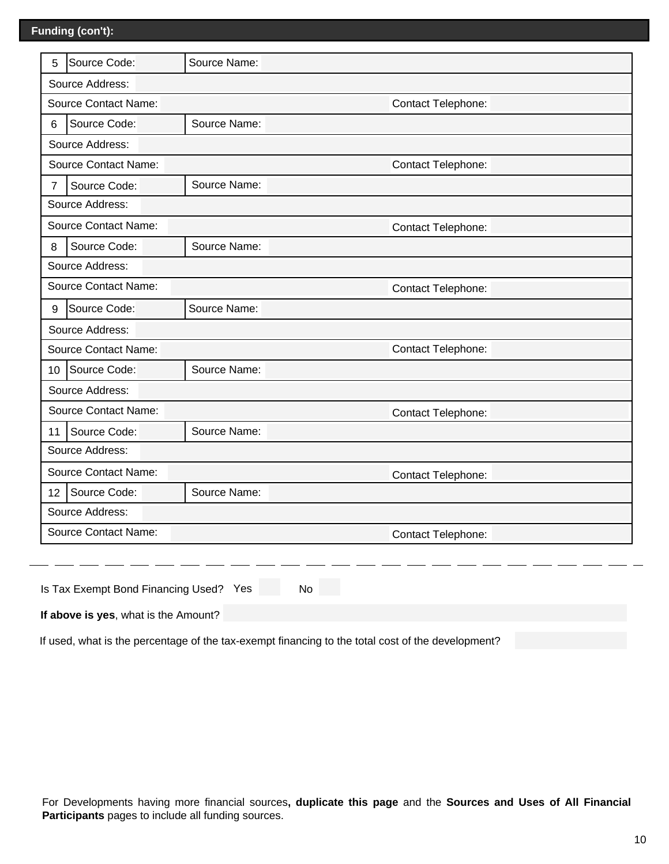| 5                                 | Source Code:                | Source Name: |                           |  |  |  |  |  |
|-----------------------------------|-----------------------------|--------------|---------------------------|--|--|--|--|--|
|                                   | Source Address:             |              |                           |  |  |  |  |  |
|                                   | <b>Source Contact Name:</b> |              | Contact Telephone:        |  |  |  |  |  |
| Source Name:<br>Source Code:<br>6 |                             |              |                           |  |  |  |  |  |
| Source Address:                   |                             |              |                           |  |  |  |  |  |
|                                   | <b>Source Contact Name:</b> |              | Contact Telephone:        |  |  |  |  |  |
| $\overline{7}$                    | Source Code:                | Source Name: |                           |  |  |  |  |  |
| Source Address:                   |                             |              |                           |  |  |  |  |  |
| <b>Source Contact Name:</b>       |                             |              | Contact Telephone:        |  |  |  |  |  |
| 8                                 | Source Code:                | Source Name: |                           |  |  |  |  |  |
| Source Address:                   |                             |              |                           |  |  |  |  |  |
|                                   | <b>Source Contact Name:</b> |              | Contact Telephone:        |  |  |  |  |  |
| 9                                 | Source Code:                | Source Name: |                           |  |  |  |  |  |
|                                   | Source Address:             |              |                           |  |  |  |  |  |
|                                   | <b>Source Contact Name:</b> |              | Contact Telephone:        |  |  |  |  |  |
| 10                                | Source Code:                | Source Name: |                           |  |  |  |  |  |
|                                   | Source Address:             |              |                           |  |  |  |  |  |
|                                   | <b>Source Contact Name:</b> |              | Contact Telephone:        |  |  |  |  |  |
| 11                                | Source Code:                | Source Name: |                           |  |  |  |  |  |
|                                   | Source Address:             |              |                           |  |  |  |  |  |
| <b>Source Contact Name:</b>       |                             |              | <b>Contact Telephone:</b> |  |  |  |  |  |
| 12                                | Source Code:                | Source Name: |                           |  |  |  |  |  |
|                                   | Source Address:             |              |                           |  |  |  |  |  |
|                                   | <b>Source Contact Name:</b> |              | Contact Telephone:        |  |  |  |  |  |
|                                   |                             |              |                           |  |  |  |  |  |

|  | Is Tax Exempt Bond Financing Used? Yes |  |  | No. |
|--|----------------------------------------|--|--|-----|
|--|----------------------------------------|--|--|-----|

**If above is yes**, what is the Amount?

If used, what is the percentage of the tax-exempt financing to the total cost of the development?

For Developments having more financial sources**, duplicate this page** and the **Sources and Uses of All Financial Participants** pages to include all funding sources.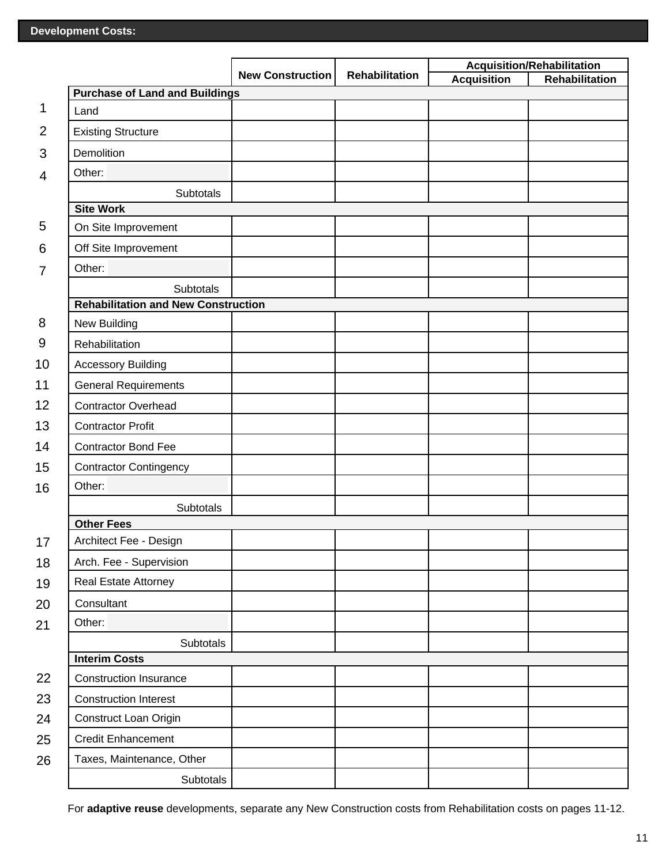|                |                                                         |                         |                | <b>Acquisition/Rehabilitation</b> |                |
|----------------|---------------------------------------------------------|-------------------------|----------------|-----------------------------------|----------------|
|                |                                                         | <b>New Construction</b> | Rehabilitation | <b>Acquisition</b>                | Rehabilitation |
| 1              | <b>Purchase of Land and Buildings</b><br>Land           |                         |                |                                   |                |
|                |                                                         |                         |                |                                   |                |
| $\overline{2}$ | <b>Existing Structure</b>                               |                         |                |                                   |                |
| 3              | Demolition                                              |                         |                |                                   |                |
| $\overline{4}$ | Other:                                                  |                         |                |                                   |                |
|                | Subtotals                                               |                         |                |                                   |                |
| 5              | <b>Site Work</b>                                        |                         |                |                                   |                |
|                | On Site Improvement                                     |                         |                |                                   |                |
| 6              | Off Site Improvement                                    |                         |                |                                   |                |
| $\overline{7}$ | Other:                                                  |                         |                |                                   |                |
|                | Subtotals<br><b>Rehabilitation and New Construction</b> |                         |                |                                   |                |
| 8              | New Building                                            |                         |                |                                   |                |
| 9              | Rehabilitation                                          |                         |                |                                   |                |
| 10             | <b>Accessory Building</b>                               |                         |                |                                   |                |
| 11             | <b>General Requirements</b>                             |                         |                |                                   |                |
| 12             | <b>Contractor Overhead</b>                              |                         |                |                                   |                |
| 13             |                                                         |                         |                |                                   |                |
|                | <b>Contractor Profit</b>                                |                         |                |                                   |                |
| 14             | <b>Contractor Bond Fee</b>                              |                         |                |                                   |                |
| 15             | <b>Contractor Contingency</b><br>Other:                 |                         |                |                                   |                |
| 16             |                                                         |                         |                |                                   |                |
|                | Subtotals<br><b>Other Fees</b>                          |                         |                |                                   |                |
| 17             | Architect Fee - Design                                  |                         |                |                                   |                |
| 18             | Arch. Fee - Supervision                                 |                         |                |                                   |                |
| 19             | Real Estate Attorney                                    |                         |                |                                   |                |
|                | Consultant                                              |                         |                |                                   |                |
| 20             | Other:                                                  |                         |                |                                   |                |
| 21             | Subtotals                                               |                         |                |                                   |                |
|                | <b>Interim Costs</b>                                    |                         |                |                                   |                |
| 22             | <b>Construction Insurance</b>                           |                         |                |                                   |                |
| 23             | <b>Construction Interest</b>                            |                         |                |                                   |                |
| 24             | Construct Loan Origin                                   |                         |                |                                   |                |
| 25             | <b>Credit Enhancement</b>                               |                         |                |                                   |                |
| 26             | Taxes, Maintenance, Other                               |                         |                |                                   |                |
|                | Subtotals                                               |                         |                |                                   |                |

For **adaptive reuse** developments, separate any New Construction costs from Rehabilitation costs on pages 11-12.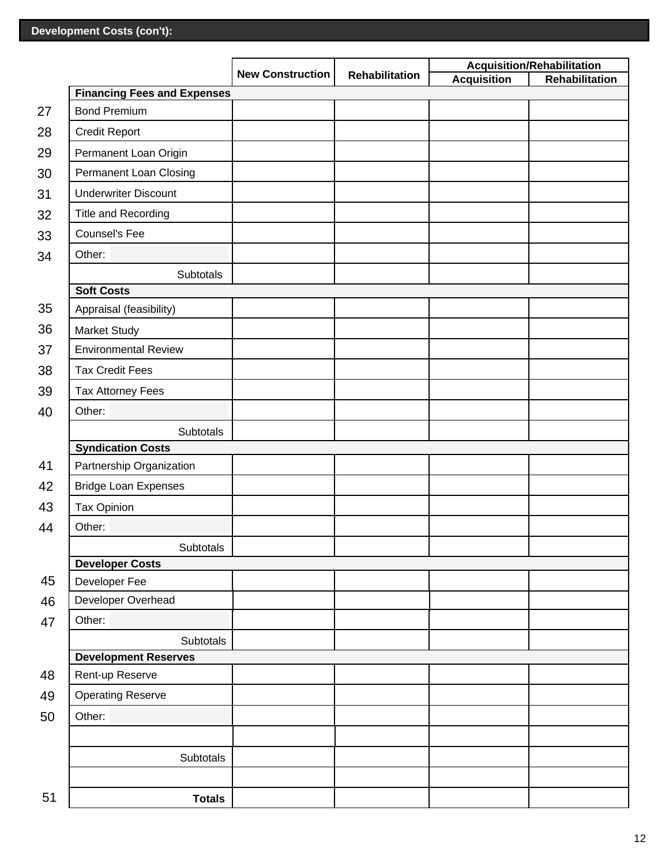|    |                                    |                         |                |                    | <b>Acquisition/Rehabilitation</b> |
|----|------------------------------------|-------------------------|----------------|--------------------|-----------------------------------|
|    |                                    | <b>New Construction</b> | Rehabilitation | <b>Acquisition</b> | Rehabilitation                    |
|    | <b>Financing Fees and Expenses</b> |                         |                |                    |                                   |
| 27 | <b>Bond Premium</b>                |                         |                |                    |                                   |
| 28 | <b>Credit Report</b>               |                         |                |                    |                                   |
| 29 | Permanent Loan Origin              |                         |                |                    |                                   |
| 30 | Permanent Loan Closing             |                         |                |                    |                                   |
| 31 | <b>Underwriter Discount</b>        |                         |                |                    |                                   |
| 32 | Title and Recording                |                         |                |                    |                                   |
| 33 | Counsel's Fee                      |                         |                |                    |                                   |
| 34 | Other:                             |                         |                |                    |                                   |
|    | <b>Subtotals</b>                   |                         |                |                    |                                   |
|    | <b>Soft Costs</b>                  |                         |                |                    |                                   |
| 35 | Appraisal (feasibility)            |                         |                |                    |                                   |
| 36 | <b>Market Study</b>                |                         |                |                    |                                   |
| 37 | <b>Environmental Review</b>        |                         |                |                    |                                   |
| 38 | <b>Tax Credit Fees</b>             |                         |                |                    |                                   |
| 39 | <b>Tax Attorney Fees</b>           |                         |                |                    |                                   |
| 40 | Other:                             |                         |                |                    |                                   |
|    | Subtotals                          |                         |                |                    |                                   |
|    | <b>Syndication Costs</b>           |                         |                |                    |                                   |
| 41 | Partnership Organization           |                         |                |                    |                                   |
| 42 | <b>Bridge Loan Expenses</b>        |                         |                |                    |                                   |
| 43 | <b>Tax Opinion</b>                 |                         |                |                    |                                   |
| 44 | Other:                             |                         |                |                    |                                   |
|    | Subtotals                          |                         |                |                    |                                   |
|    | <b>Developer Costs</b>             |                         |                |                    |                                   |
| 45 | Developer Fee                      |                         |                |                    |                                   |
| 46 | Developer Overhead                 |                         |                |                    |                                   |
| 47 | Other:                             |                         |                |                    |                                   |
|    | Subtotals                          |                         |                |                    |                                   |
|    | <b>Development Reserves</b>        |                         |                |                    |                                   |
| 48 | Rent-up Reserve                    |                         |                |                    |                                   |
| 49 | <b>Operating Reserve</b>           |                         |                |                    |                                   |
| 50 | Other:                             |                         |                |                    |                                   |
|    |                                    |                         |                |                    |                                   |
|    | Subtotals                          |                         |                |                    |                                   |
|    |                                    |                         |                |                    |                                   |
| 51 | <b>Totals</b>                      |                         |                |                    |                                   |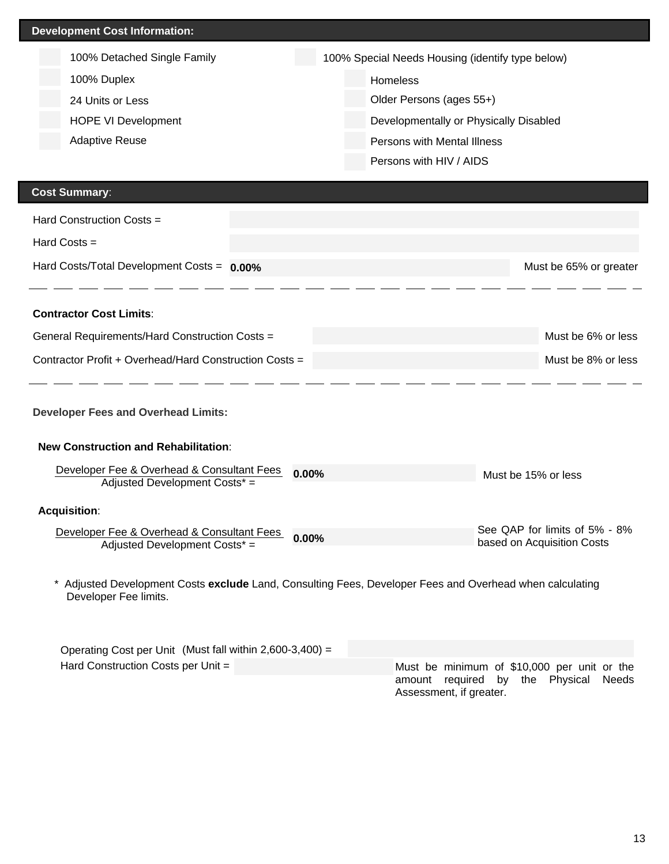| <b>Development Cost Information:</b> |                             |  |                                                  |  |  |  |
|--------------------------------------|-----------------------------|--|--------------------------------------------------|--|--|--|
|                                      | 100% Detached Single Family |  | 100% Special Needs Housing (identify type below) |  |  |  |
|                                      | 100% Duplex                 |  | <b>Homeless</b>                                  |  |  |  |
|                                      | 24 Units or Less            |  | Older Persons (ages 55+)                         |  |  |  |
|                                      | <b>HOPE VI Development</b>  |  | Developmentally or Physically Disabled           |  |  |  |
|                                      | <b>Adaptive Reuse</b>       |  | Persons with Mental Illness                      |  |  |  |
|                                      |                             |  | Persons with HIV / AIDS                          |  |  |  |

# **Cost Summary**:

| Hard Construction Costs $=$                            |                        |
|--------------------------------------------------------|------------------------|
| Hard Costs $=$                                         |                        |
| Hard Costs/Total Development Costs = $0.00\%$          | Must be 65% or greater |
|                                                        |                        |
| <b>Contractor Cost Limits:</b>                         |                        |
| General Requirements/Hard Construction Costs =         | Must be 6% or less     |
| Contractor Profit + Overhead/Hard Construction Costs = | Must be 8% or less     |

#### **Developer Fees and Overhead Limits:**

**New Construction and Rehabilitation**:

| Developer Fee & Overhead & Consultant Fees<br>Adjusted Development Costs* = | $0.00\%$ | Must be 15% or less                                         |
|-----------------------------------------------------------------------------|----------|-------------------------------------------------------------|
| <b>Acquisition:</b>                                                         |          |                                                             |
| Developer Fee & Overhead & Consultant Fees<br>Adjusted Development Costs* = | $0.00\%$ | See QAP for limits of 5% - 8%<br>based on Acquisition Costs |

\* Adjusted Development Costs **exclude** Land, Consulting Fees, Developer Fees and Overhead when calculating Developer Fee limits.

| Operating Cost per Unit (Must fall within 2,600-3,400) = |                                             |
|----------------------------------------------------------|---------------------------------------------|
| Hard Construction Costs per Unit $=$                     | Must be minimum of \$10,000 per unit or the |
|                                                          | amount required by the Physical Needs       |
|                                                          | Assessment, if greater.                     |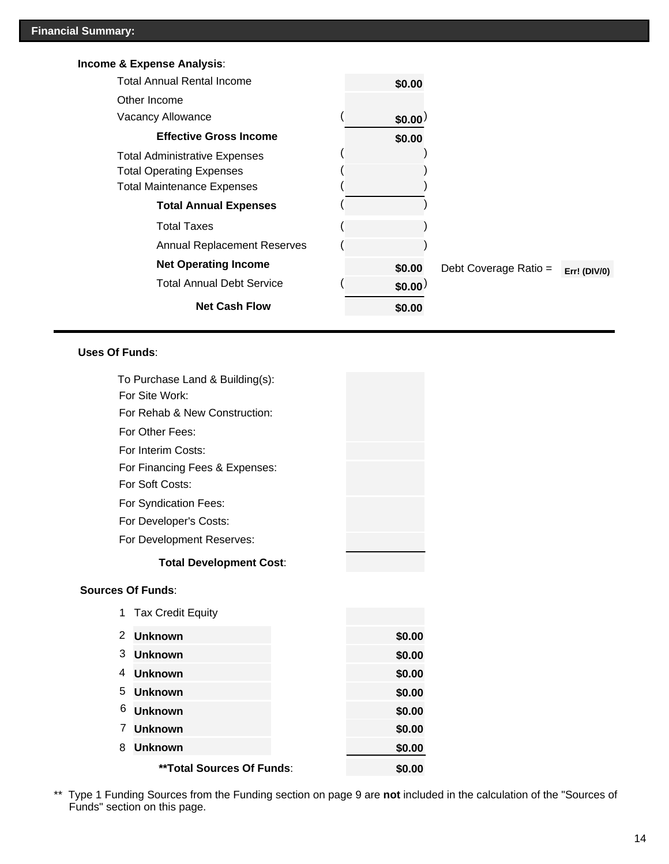# **Income & Expense Analysis**:

| <b>Total Annual Rental Income</b>    | \$0.00 |                       |                     |
|--------------------------------------|--------|-----------------------|---------------------|
| Other Income                         |        |                       |                     |
| Vacancy Allowance                    | \$0.00 |                       |                     |
| <b>Effective Gross Income</b>        | \$0.00 |                       |                     |
| <b>Total Administrative Expenses</b> |        |                       |                     |
| <b>Total Operating Expenses</b>      |        |                       |                     |
| <b>Total Maintenance Expenses</b>    |        |                       |                     |
| <b>Total Annual Expenses</b>         |        |                       |                     |
| Total Taxes                          |        |                       |                     |
| <b>Annual Replacement Reserves</b>   |        |                       |                     |
| <b>Net Operating Income</b>          | \$0.00 | Debt Coverage Ratio = | <b>Err! (DIV/0)</b> |
| <b>Total Annual Debt Service</b>     | \$0.00 |                       |                     |
| <b>Net Cash Flow</b>                 | \$0.00 |                       |                     |

## **Uses Of Funds**:

|                          | To Purchase Land & Building(s):<br>For Site Work: |  |        |
|--------------------------|---------------------------------------------------|--|--------|
|                          | For Rehab & New Construction:                     |  |        |
|                          | For Other Fees:                                   |  |        |
|                          | For Interim Costs:                                |  |        |
|                          | For Financing Fees & Expenses:                    |  |        |
|                          | For Soft Costs:                                   |  |        |
|                          | For Syndication Fees:                             |  |        |
|                          | For Developer's Costs:                            |  |        |
|                          | For Development Reserves:                         |  |        |
|                          | <b>Total Development Cost:</b>                    |  |        |
| <b>Sources Of Funds:</b> |                                                   |  |        |
| 1                        | <b>Tax Credit Equity</b>                          |  |        |
| 2                        | <b>Unknown</b>                                    |  | \$0.00 |
| 3                        | <b>Unknown</b>                                    |  | \$0.00 |
| 4                        | <b>Unknown</b>                                    |  | \$0.00 |
| 5                        | <b>Unknown</b>                                    |  | \$0.00 |
| 6                        | <b>Unknown</b>                                    |  | \$0.00 |
| 7                        | <b>Unknown</b>                                    |  | \$0.00 |
| 8                        | <b>Unknown</b>                                    |  | \$0.00 |
|                          | **Total Sources Of Funds:                         |  | \$0.00 |

\*\* Type 1 Funding Sources from the Funding section on page 9 are **not** included in the calculation of the "Sources of Funds" section on this page.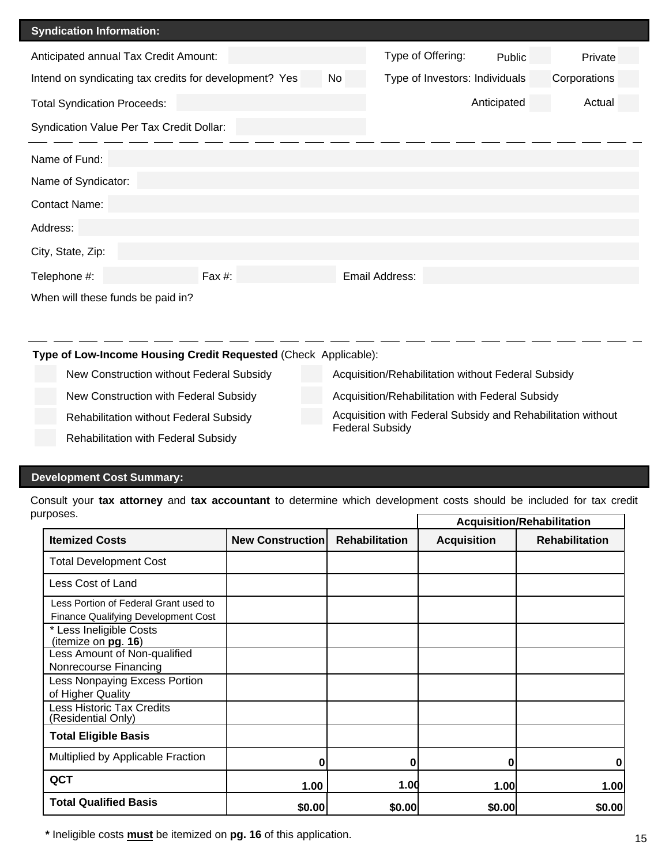| <b>Syndication Information:</b>                                                                                |        |  |                |             |        |  |  |  |
|----------------------------------------------------------------------------------------------------------------|--------|--|----------------|-------------|--------|--|--|--|
| Type of Offering:<br>Anticipated annual Tax Credit Amount:<br>Public<br>Private                                |        |  |                |             |        |  |  |  |
| Intend on syndicating tax credits for development? Yes<br>Corporations<br>No<br>Type of Investors: Individuals |        |  |                |             |        |  |  |  |
| <b>Total Syndication Proceeds:</b>                                                                             |        |  |                | Anticipated | Actual |  |  |  |
| Syndication Value Per Tax Credit Dollar:                                                                       |        |  |                |             |        |  |  |  |
|                                                                                                                |        |  |                |             |        |  |  |  |
| Name of Fund:                                                                                                  |        |  |                |             |        |  |  |  |
| Name of Syndicator:                                                                                            |        |  |                |             |        |  |  |  |
| Contact Name:                                                                                                  |        |  |                |             |        |  |  |  |
| Address:                                                                                                       |        |  |                |             |        |  |  |  |
| City, State, Zip:                                                                                              |        |  |                |             |        |  |  |  |
| Telephone #:                                                                                                   | Fax #: |  | Email Address: |             |        |  |  |  |
| When will these funds be paid in?                                                                              |        |  |                |             |        |  |  |  |
|                                                                                                                |        |  |                |             |        |  |  |  |
|                                                                                                                |        |  |                |             |        |  |  |  |

**Type of Low-Income Housing Credit Requested** (Check Applicable):

New Construction without Federal Subsidy Acquisition/Rehabilitation without Federal Subsidy

New Construction with Federal Subsidy **Acquisition/Rehabilitation with Federal Subsidy** 

Rehabilitation with Federal Subsidy

Rehabilitation without Federal Subsidy **Acquisition with Federal Subsidy and Rehabilitation without** Federal Subsidy

## **Development Cost Summary:**

Consult your **tax attorney** and **tax accountant** to determine which development costs should be included for tax credit purposes.  $\Gamma$ **Acquisition/Rehabilitation**  $\overline{\phantom{a}}$ 

|                                                                                     |                         |                       |                    | Acquisition/Rehabilitation |
|-------------------------------------------------------------------------------------|-------------------------|-----------------------|--------------------|----------------------------|
| <b>Itemized Costs</b>                                                               | <b>New Construction</b> | <b>Rehabilitation</b> | <b>Acquisition</b> | <b>Rehabilitation</b>      |
| <b>Total Development Cost</b>                                                       |                         |                       |                    |                            |
| Less Cost of Land                                                                   |                         |                       |                    |                            |
| Less Portion of Federal Grant used to<br><b>Finance Qualifying Development Cost</b> |                         |                       |                    |                            |
| * Less Ineligible Costs<br>(itemize on pg. 16)                                      |                         |                       |                    |                            |
| Less Amount of Non-qualified<br>Nonrecourse Financing                               |                         |                       |                    |                            |
| Less Nonpaying Excess Portion<br>of Higher Quality                                  |                         |                       |                    |                            |
| <b>Less Historic Tax Credits</b><br>(Residential Only)                              |                         |                       |                    |                            |
| <b>Total Eligible Basis</b>                                                         |                         |                       |                    |                            |
| Multiplied by Applicable Fraction                                                   | 0                       | ŋ                     | N                  | 0                          |
| QCT                                                                                 | 1.00                    | 1.00                  | 1.00               | 1.00                       |
| <b>Total Qualified Basis</b>                                                        | \$0.00                  | \$0.00                | \$0.00             | \$0.00                     |

 **\*** Ineligible costs **must** be itemized on **pg. 16** of this application.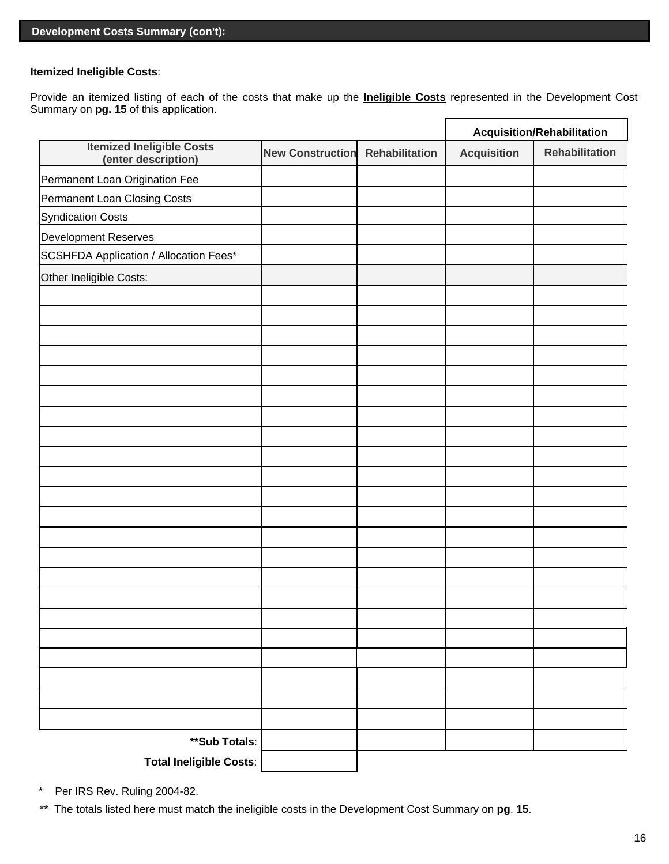#### **Itemized Ineligible Costs**:

Provide an itemized listing of each of the costs that make up the **Ineligible Costs** represented in the Development Cost Summary on **pg. 15** of this application.

|                                                         |                         |                       | <b>Acquisition/Rehabilitation</b> |                       |
|---------------------------------------------------------|-------------------------|-----------------------|-----------------------------------|-----------------------|
| <b>Itemized Ineligible Costs</b><br>(enter description) | <b>New Construction</b> | <b>Rehabilitation</b> | <b>Acquisition</b>                | <b>Rehabilitation</b> |
| Permanent Loan Origination Fee                          |                         |                       |                                   |                       |
| Permanent Loan Closing Costs                            |                         |                       |                                   |                       |
| <b>Syndication Costs</b>                                |                         |                       |                                   |                       |
| Development Reserves                                    |                         |                       |                                   |                       |
| SCSHFDA Application / Allocation Fees*                  |                         |                       |                                   |                       |
| Other Ineligible Costs:                                 |                         |                       |                                   |                       |
|                                                         |                         |                       |                                   |                       |
|                                                         |                         |                       |                                   |                       |
|                                                         |                         |                       |                                   |                       |
|                                                         |                         |                       |                                   |                       |
|                                                         |                         |                       |                                   |                       |
|                                                         |                         |                       |                                   |                       |
|                                                         |                         |                       |                                   |                       |
|                                                         |                         |                       |                                   |                       |
|                                                         |                         |                       |                                   |                       |
|                                                         |                         |                       |                                   |                       |
|                                                         |                         |                       |                                   |                       |
|                                                         |                         |                       |                                   |                       |
|                                                         |                         |                       |                                   |                       |
|                                                         |                         |                       |                                   |                       |
|                                                         |                         |                       |                                   |                       |
|                                                         |                         |                       |                                   |                       |
|                                                         |                         |                       |                                   |                       |
|                                                         |                         |                       |                                   |                       |
|                                                         |                         |                       |                                   |                       |
|                                                         |                         |                       |                                   |                       |
|                                                         |                         |                       |                                   |                       |
|                                                         |                         |                       |                                   |                       |
| **Sub Totals:                                           |                         |                       |                                   |                       |
| <b>Total Ineligible Costs:</b>                          |                         |                       |                                   |                       |

\* Per IRS Rev. Ruling 2004-82.

\*\* The totals listed here must match the ineligible costs in the Development Cost Summary on **pg**. **15**.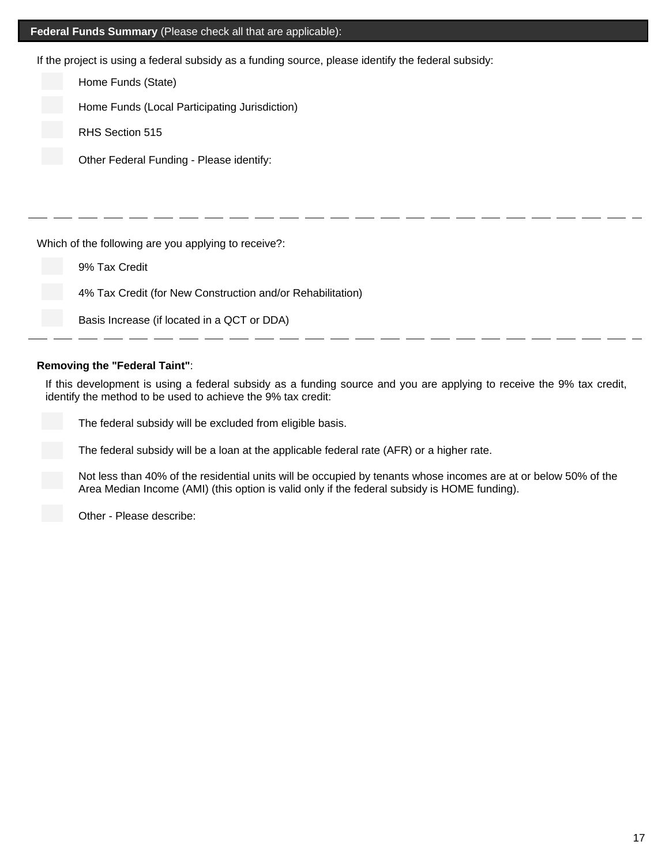# **Federal Funds Summary** (Please check all that are applicable):

If the project is using a federal subsidy as a funding source, please identify the federal subsidy:

| Home Funds (State)                                         |  |  |  |  |
|------------------------------------------------------------|--|--|--|--|
| Home Funds (Local Participating Jurisdiction)              |  |  |  |  |
| RHS Section 515                                            |  |  |  |  |
| Other Federal Funding - Please identify:                   |  |  |  |  |
|                                                            |  |  |  |  |
|                                                            |  |  |  |  |
| Which of the following are you applying to receive?:       |  |  |  |  |
| 9% Tax Credit                                              |  |  |  |  |
| 4% Tax Credit (for New Construction and/or Rehabilitation) |  |  |  |  |
| Basis Increase (if located in a QCT or DDA)                |  |  |  |  |
|                                                            |  |  |  |  |

#### **Removing the "Federal Taint"**:

If this development is using a federal subsidy as a funding source and you are applying to receive the 9% tax credit, identify the method to be used to achieve the 9% tax credit:

The federal subsidy will be excluded from eligible basis.

The federal subsidy will be a loan at the applicable federal rate (AFR) or a higher rate.

Not less than 40% of the residential units will be occupied by tenants whose incomes are at or below 50% of the Area Median Income (AMI) (this option is valid only if the federal subsidy is HOME funding).

Other - Please describe: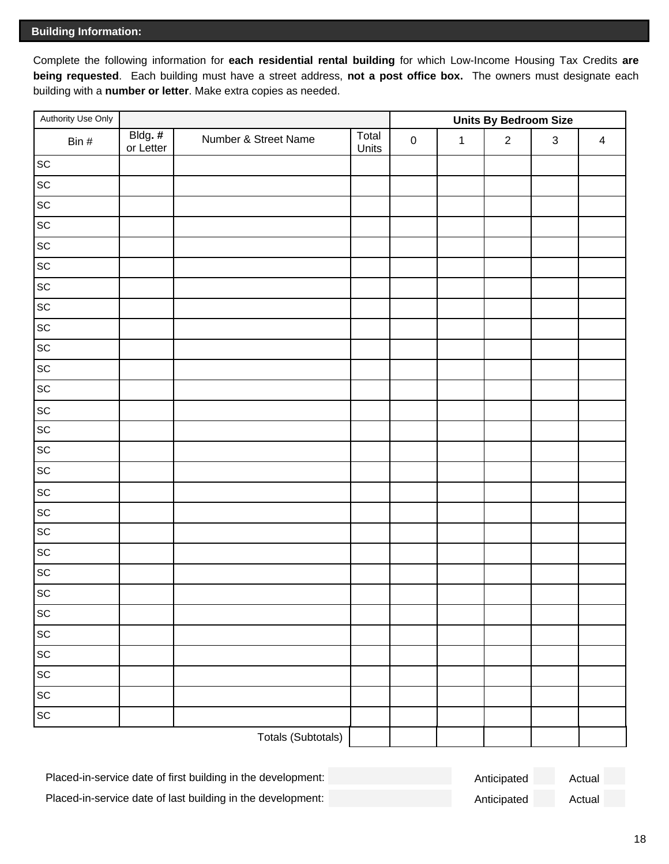# **Building Information:**

Complete the following information for **each residential rental building** for which Low-Income Housing Tax Credits **are being requested**. Each building must have a street address, **not a post office box.** The owners must designate each building with a **number or letter**. Make extra copies as needed.

| Authority Use Only           |                      |                      |                | <b>Units By Bedroom Size</b> |              |            |             |                         |
|------------------------------|----------------------|----------------------|----------------|------------------------------|--------------|------------|-------------|-------------------------|
| Bin $#$                      | Bldg. #<br>or Letter | Number & Street Name | Total<br>Units | $\pmb{0}$                    | $\mathbf{1}$ | $\sqrt{2}$ | $\mathsf 3$ | $\overline{\mathbf{4}}$ |
| $\operatorname{\textsf{SC}}$ |                      |                      |                |                              |              |            |             |                         |
| $\operatorname{\textsf{SC}}$ |                      |                      |                |                              |              |            |             |                         |
| $\operatorname{\textsf{SC}}$ |                      |                      |                |                              |              |            |             |                         |
| $\operatorname{\textsf{SC}}$ |                      |                      |                |                              |              |            |             |                         |
| $\operatorname{\textsf{SC}}$ |                      |                      |                |                              |              |            |             |                         |
| $\operatorname{\textsf{SC}}$ |                      |                      |                |                              |              |            |             |                         |
| $\operatorname{\textsf{SC}}$ |                      |                      |                |                              |              |            |             |                         |
| $\operatorname{\textsf{SC}}$ |                      |                      |                |                              |              |            |             |                         |
| $\operatorname{\textsf{SC}}$ |                      |                      |                |                              |              |            |             |                         |
| $\operatorname{\textsf{SC}}$ |                      |                      |                |                              |              |            |             |                         |
| $\operatorname{\textsf{SC}}$ |                      |                      |                |                              |              |            |             |                         |
| $\operatorname{\textsf{SC}}$ |                      |                      |                |                              |              |            |             |                         |
| $\operatorname{\textsf{SC}}$ |                      |                      |                |                              |              |            |             |                         |
| $\operatorname{\textsf{SC}}$ |                      |                      |                |                              |              |            |             |                         |
| $\operatorname{\textsf{sc}}$ |                      |                      |                |                              |              |            |             |                         |
| $\operatorname{\textsf{SC}}$ |                      |                      |                |                              |              |            |             |                         |
| $\operatorname{\textsf{SC}}$ |                      |                      |                |                              |              |            |             |                         |
| $\operatorname{\textsf{SC}}$ |                      |                      |                |                              |              |            |             |                         |
| $\ensuremath{\mathsf{SC}}$   |                      |                      |                |                              |              |            |             |                         |
| $\operatorname{\textsf{SC}}$ |                      |                      |                |                              |              |            |             |                         |
| $\operatorname{\textsf{SC}}$ |                      |                      |                |                              |              |            |             |                         |
| $\operatorname{\textsf{SC}}$ |                      |                      |                |                              |              |            |             |                         |
| $\operatorname{\textsf{SC}}$ |                      |                      |                |                              |              |            |             |                         |
| $\operatorname{\textsf{SC}}$ |                      |                      |                |                              |              |            |             |                         |
| SC                           |                      |                      |                |                              |              |            |             |                         |
| $\operatorname{\textsf{SC}}$ |                      |                      |                |                              |              |            |             |                         |
| $\operatorname{\textsf{SC}}$ |                      |                      |                |                              |              |            |             |                         |
| $\operatorname{\textsf{SC}}$ |                      |                      |                |                              |              |            |             |                         |
|                              |                      | Totals (Subtotals)   |                |                              |              |            |             |                         |

| Placed-in-service date of first building in the development: | Anticipated | Actual |
|--------------------------------------------------------------|-------------|--------|
| Placed-in-service date of last building in the development:  | Anticipated | Actual |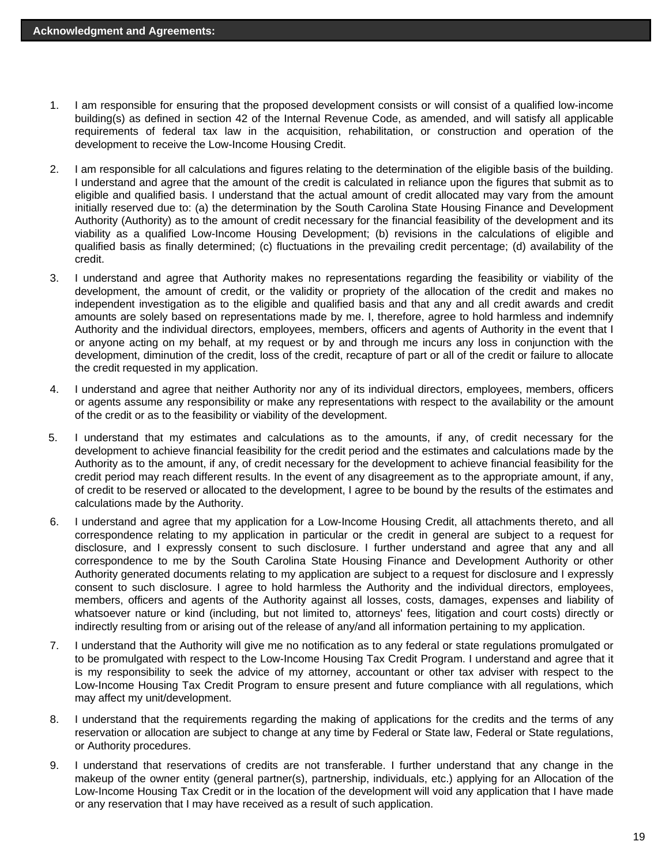- I am responsible for ensuring that the proposed development consists or will consist of a qualified low-income building(s) as defined in section 42 of the Internal Revenue Code, as amended, and will satisfy all applicable requirements of federal tax law in the acquisition, rehabilitation, or construction and operation of the development to receive the Low-Income Housing Credit. 1.
- I am responsible for all calculations and figures relating to the determination of the eligible basis of the building. I understand and agree that the amount of the credit is calculated in reliance upon the figures that submit as to eligible and qualified basis. I understand that the actual amount of credit allocated may vary from the amount initially reserved due to: (a) the determination by the South Carolina State Housing Finance and Development Authority (Authority) as to the amount of credit necessary for the financial feasibility of the development and its viability as a qualified Low-Income Housing Development; (b) revisions in the calculations of eligible and qualified basis as finally determined; (c) fluctuations in the prevailing credit percentage; (d) availability of the credit. 2.
- I understand and agree that Authority makes no representations regarding the feasibility or viability of the development, the amount of credit, or the validity or propriety of the allocation of the credit and makes no independent investigation as to the eligible and qualified basis and that any and all credit awards and credit amounts are solely based on representations made by me. I, therefore, agree to hold harmless and indemnify Authority and the individual directors, employees, members, officers and agents of Authority in the event that I or anyone acting on my behalf, at my request or by and through me incurs any loss in conjunction with the development, diminution of the credit, loss of the credit, recapture of part or all of the credit or failure to allocate the credit requested in my application. 3.
- I understand and agree that neither Authority nor any of its individual directors, employees, members, officers or agents assume any responsibility or make any representations with respect to the availability or the amount of the credit or as to the feasibility or viability of the development. 4.
- I understand that my estimates and calculations as to the amounts, if any, of credit necessary for the development to achieve financial feasibility for the credit period and the estimates and calculations made by the Authority as to the amount, if any, of credit necessary for the development to achieve financial feasibility for the credit period may reach different results. In the event of any disagreement as to the appropriate amount, if any, of credit to be reserved or allocated to the development, I agree to be bound by the results of the estimates and calculations made by the Authority. 5.
- I understand and agree that my application for a Low-Income Housing Credit, all attachments thereto, and all correspondence relating to my application in particular or the credit in general are subject to a request for disclosure, and I expressly consent to such disclosure. I further understand and agree that any and all correspondence to me by the South Carolina State Housing Finance and Development Authority or other Authority generated documents relating to my application are subject to a request for disclosure and I expressly consent to such disclosure. I agree to hold harmless the Authority and the individual directors, employees, members, officers and agents of the Authority against all losses, costs, damages, expenses and liability of whatsoever nature or kind (including, but not limited to, attorneys' fees, litigation and court costs) directly or indirectly resulting from or arising out of the release of any/and all information pertaining to my application. 6.
- 7. I understand that the Authority will give me no notification as to any federal or state regulations promulgated or to be promulgated with respect to the Low-Income Housing Tax Credit Program. I understand and agree that it is my responsibility to seek the advice of my attorney, accountant or other tax adviser with respect to the Low-Income Housing Tax Credit Program to ensure present and future compliance with all regulations, which may affect my unit/development.
- I understand that the requirements regarding the making of applications for the credits and the terms of any reservation or allocation are subject to change at any time by Federal or State law, Federal or State regulations, or Authority procedures. 8.
- I understand that reservations of credits are not transferable. I further understand that any change in the makeup of the owner entity (general partner(s), partnership, individuals, etc.) applying for an Allocation of the Low-Income Housing Tax Credit or in the location of the development will void any application that I have made or any reservation that I may have received as a result of such application. 9.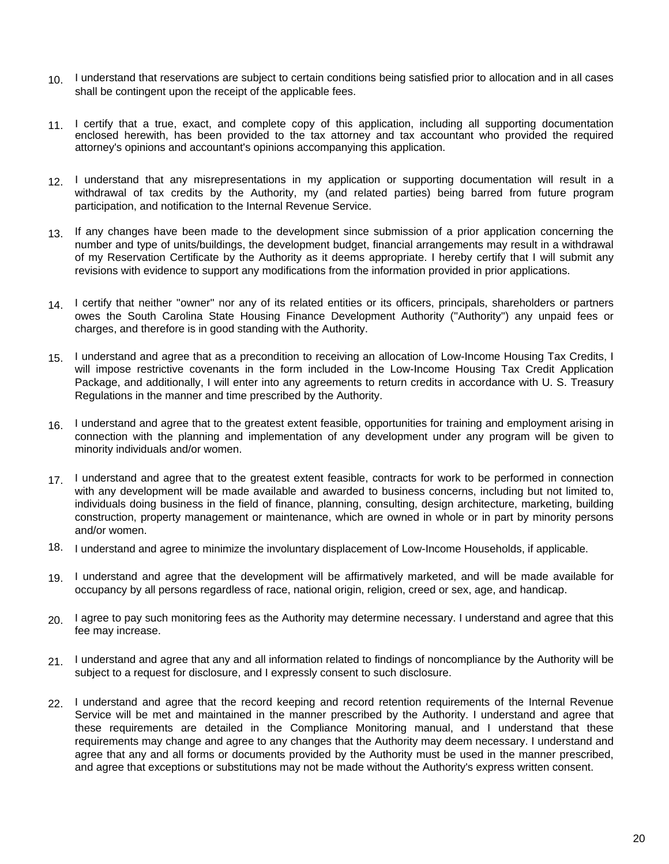- 10. I understand that reservations are subject to certain conditions being satisfied prior to allocation and in all cases shall be contingent upon the receipt of the applicable fees.
- 11. I certify that a true, exact, and complete copy of this application, including all supporting documentation enclosed herewith, has been provided to the tax attorney and tax accountant who provided the required attorney's opinions and accountant's opinions accompanying this application.
- 12. I understand that any misrepresentations in my application or supporting documentation will result in a withdrawal of tax credits by the Authority, my (and related parties) being barred from future program participation, and notification to the Internal Revenue Service.
- 13. If any changes have been made to the development since submission of a prior application concerning the number and type of units/buildings, the development budget, financial arrangements may result in a withdrawal of my Reservation Certificate by the Authority as it deems appropriate. I hereby certify that I will submit any revisions with evidence to support any modifications from the information provided in prior applications.
- 14. I certify that neither "owner" nor any of its related entities or its officers, principals, shareholders or partners owes the South Carolina State Housing Finance Development Authority (''Authority'') any unpaid fees or charges, and therefore is in good standing with the Authority.
- I understand and agree that as a precondition to receiving an allocation of Low-Income Housing Tax Credits, I will impose restrictive covenants in the form included in the Low-Income Housing Tax Credit Application Package, and additionally, I will enter into any agreements to return credits in accordance with U. S. Treasury Regulations in the manner and time prescribed by the Authority. 15.
- 16. I understand and agree that to the greatest extent feasible, opportunities for training and employment arising in connection with the planning and implementation of any development under any program will be given to minority individuals and/or women.
- 17. I understand and agree that to the greatest extent feasible, contracts for work to be performed in connection with any development will be made available and awarded to business concerns, including but not limited to, individuals doing business in the field of finance, planning, consulting, design architecture, marketing, building construction, property management or maintenance, which are owned in whole or in part by minority persons and/or women.
- 18. I understand and agree to minimize the involuntary displacement of Low-Income Households, if applicable.
- 19. I understand and agree that the development will be affirmatively marketed, and will be made available for occupancy by all persons regardless of race, national origin, religion, creed or sex, age, and handicap.
- I agree to pay such monitoring fees as the Authority may determine necessary. I understand and agree that this 20. fee may increase.
- 21. I understand and agree that any and all information related to findings of noncompliance by the Authority will be subject to a request for disclosure, and I expressly consent to such disclosure.
- 22. I understand and agree that the record keeping and record retention requirements of the Internal Revenue Service will be met and maintained in the manner prescribed by the Authority. I understand and agree that these requirements are detailed in the Compliance Monitoring manual, and I understand that these requirements may change and agree to any changes that the Authority may deem necessary. I understand and agree that any and all forms or documents provided by the Authority must be used in the manner prescribed, and agree that exceptions or substitutions may not be made without the Authority's express written consent.